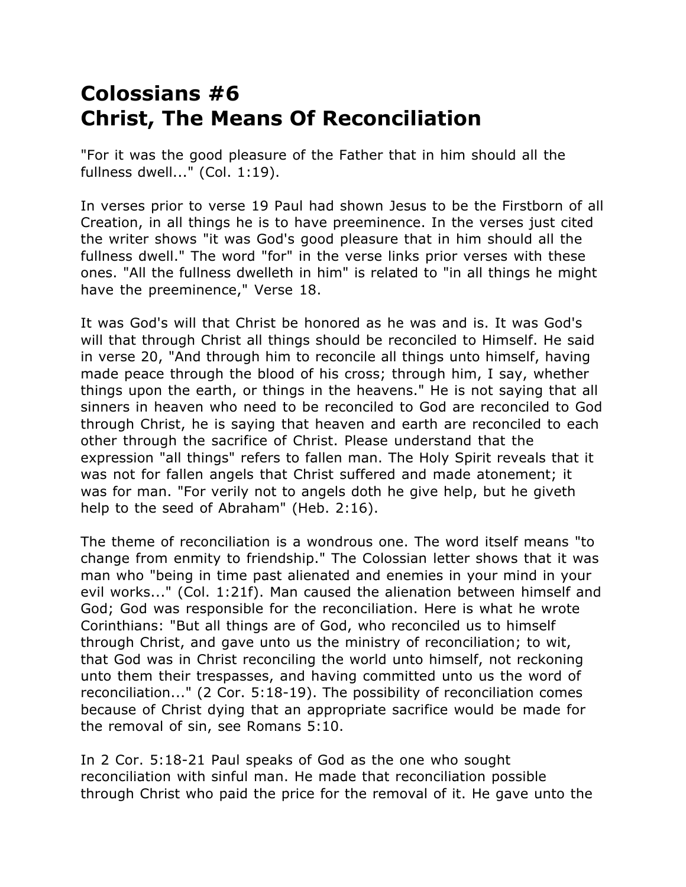## **Colossians #6 Christ, The Means Of Reconciliation**

"For it was the good pleasure of the Father that in him should all the fullness dwell..." (Col. 1:19).

In verses prior to verse 19 Paul had shown Jesus to be the Firstborn of all Creation, in all things he is to have preeminence. In the verses just cited the writer shows "it was God's good pleasure that in him should all the fullness dwell." The word "for" in the verse links prior verses with these ones. "All the fullness dwelleth in him" is related to "in all things he might have the preeminence," Verse 18.

It was God's will that Christ be honored as he was and is. It was God's will that through Christ all things should be reconciled to Himself. He said in verse 20, "And through him to reconcile all things unto himself, having made peace through the blood of his cross; through him, I say, whether things upon the earth, or things in the heavens." He is not saying that all sinners in heaven who need to be reconciled to God are reconciled to God through Christ, he is saying that heaven and earth are reconciled to each other through the sacrifice of Christ. Please understand that the expression "all things" refers to fallen man. The Holy Spirit reveals that it was not for fallen angels that Christ suffered and made atonement; it was for man. "For verily not to angels doth he give help, but he giveth help to the seed of Abraham" (Heb. 2:16).

The theme of reconciliation is a wondrous one. The word itself means "to change from enmity to friendship." The Colossian letter shows that it was man who "being in time past alienated and enemies in your mind in your evil works..." (Col. 1:21f). Man caused the alienation between himself and God; God was responsible for the reconciliation. Here is what he wrote Corinthians: "But all things are of God, who reconciled us to himself through Christ, and gave unto us the ministry of reconciliation; to wit, that God was in Christ reconciling the world unto himself, not reckoning unto them their trespasses, and having committed unto us the word of reconciliation..." (2 Cor. 5:18-19). The possibility of reconciliation comes because of Christ dying that an appropriate sacrifice would be made for the removal of sin, see Romans 5:10.

In 2 Cor. 5:18-21 Paul speaks of God as the one who sought reconciliation with sinful man. He made that reconciliation possible through Christ who paid the price for the removal of it. He gave unto the